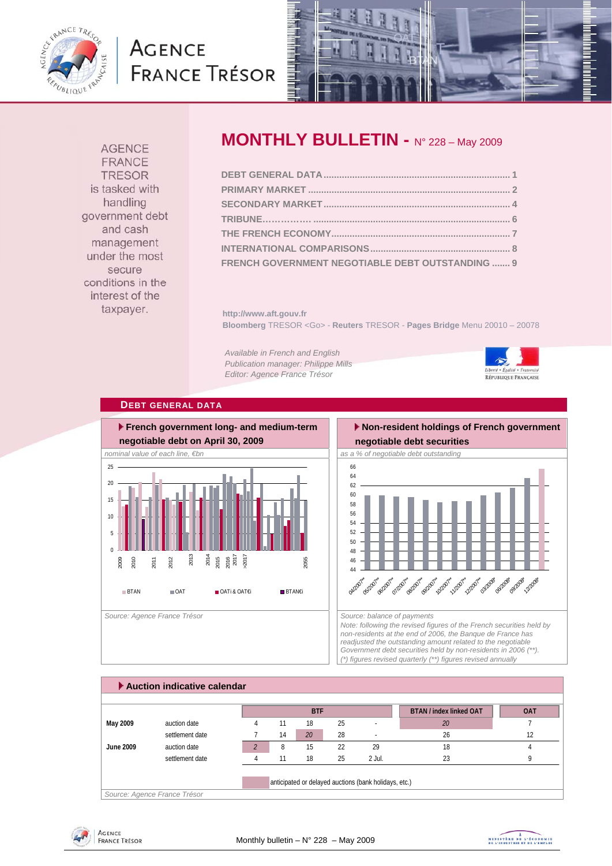

# **AGENCE FRANCE TRÉSOR**



**AGENCE** FRANCE **TRESOR** is tasked with handling government debt and cash management under the most secure conditions in the interest of the taxpayer.

## **MONTHLY BULLETIN -** N° 228 – May 2009

| FRENCH GOVERNMENT NEGOTIABLE DEBT OUTSTANDING  9 |  |
|--------------------------------------------------|--|

**http://www.aft.gouv.fr Bloomberg** TRESOR <Go> - **Reuters** TRESOR - **Pages Bridge** Menu 20010 – 20078

*Available in French and English Publication manager: Philippe Mills Editor: Agence France Trésor* 



## **DEBT GENERAL DATA**



## **Non-resident holdings of French government negotiable debt securities**



*Note: following the revised figures of the French securities held by non-residents at the end of 2006, the Banque de France has readjusted the outstanding amount related to the negotiable Government debt securities held by non-residents in 2006 (\*\*). (\*) figures revised quarterly (\*\*) figures revised annually* 

|           | Auction indicative calendar                           |  |    |            |    |         |                                |            |
|-----------|-------------------------------------------------------|--|----|------------|----|---------|--------------------------------|------------|
|           |                                                       |  |    |            |    |         |                                |            |
|           |                                                       |  |    | <b>BTF</b> |    |         | <b>BTAN / index linked OAT</b> | <b>OAT</b> |
| May 2009  | auction date                                          |  | 11 | 18         | 25 | ٠       | 20                             |            |
|           | settlement date                                       |  | 14 | 20         | 28 | ٠       | 26                             | 12         |
| June 2009 | auction date                                          |  | 8  | 15         | 22 | 29      | 18                             |            |
|           | settlement date                                       |  |    | 18         | 25 | -2 Jul. | 23                             |            |
|           |                                                       |  |    |            |    |         |                                |            |
|           | anticipated or delayed auctions (bank holidays, etc.) |  |    |            |    |         |                                |            |
|           | Source: Agence France Trésor                          |  |    |            |    |         |                                |            |



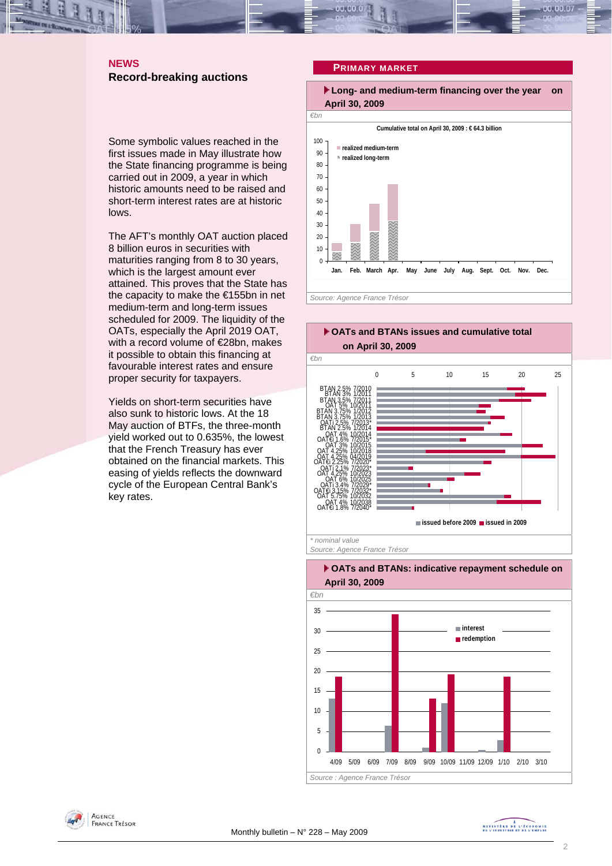## **NEWS Record-breaking auctions**

Some symbolic values reached in the first issues made in May illustrate how the State financing programme is being carried out in 2009, a year in which historic amounts need to be raised and short-term interest rates are at historic lows.

The AFT's monthly OAT auction placed 8 billion euros in securities with maturities ranging from 8 to 30 years, which is the largest amount ever attained. This proves that the State has the capacity to make the €155bn in net medium-term and long-term issues scheduled for 2009. The liquidity of the OATs, especially the April 2019 OAT, with a record volume of €28bn, makes it possible to obtain this financing at favourable interest rates and ensure proper security for taxpayers.

Yields on short-term securities have also sunk to historic lows. At the 18 May auction of BTFs, the three-month yield worked out to 0.635%, the lowest that the French Treasury has ever obtained on the financial markets. This easing of yields reflects the downward cycle of the European Central Bank's key rates.

### **PRIMARY MARKET**









MINISTRE DE L'ÉCONOMIE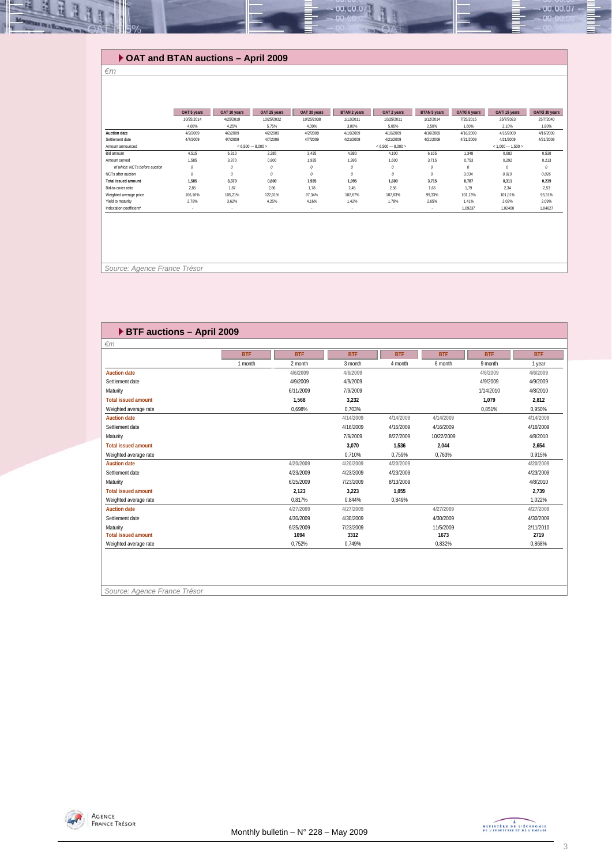## **OAT and BTAN auctions – April 2009**

#### *€m*

녧  $\mathbb{R}$ 

|                                         | OAT 5 years | OAT 10 years | OAT 25 years | OAT 30 years | <b>BTAN 2 years</b>      | OAT 2 years         | <b>BTAN 5 years</b> | OAT€i 6 years | OATi 15 years       | OAT€i 30 years |
|-----------------------------------------|-------------|--------------|--------------|--------------|--------------------------|---------------------|---------------------|---------------|---------------------|----------------|
|                                         | 10/25/2014  | 4/25/2019    | 10/25/2032   | 10/25/2038   | 1/12/2011                | 10/25/2011          | 1/12/2014           | 7/25/2015     | 25/7/2023           | 25/7/2040      |
|                                         | 4.00%       | 4.25%        | 5,75%        | 4.00%        | 3,00%                    | 5,00%               | 2,50%               | 1,60%         | 2,10%               | 1,80%          |
| Auction date                            | 4/2/2009    | 4/2/2009     | 4/2/2009     | 4/2/2009     | 4/16/2009                | 4/16/2009           | 4/16/2009           | 4/16/2009     | 4/16/2009           | 4/16/2009      |
| Settlement date                         | 4/7/2009    | 4/7/2009     | 4/7/2009     | 4/7/2009     | 4/21/2009                | 4/21/2009           | 4/21/2009           | 4/21/2009     | 4/21/2009           | 4/21/2009      |
| $< 6.500 - 8.000 >$<br>Amount announced |             |              |              |              |                          | $< 6.500 - 8.000 >$ |                     |               | $< 1.000 - 1.500 >$ |                |
| Bid amount                              | 4.515       | 6.310        | 2.285        | 3,435        | 4.880                    | 4.100               | 6,165               | 1.348         | 0.682               | 0.538          |
| Amount served                           | 1.585       | 3.370        | 0.800        | 1.935        | 1.995                    | 1.600               | 3.715               | 0.753         | 0.292               | 0,213          |
| of which: NCTs before auction           | 0           | $\mathcal O$ | $\theta$     | $\theta$     | 0                        |                     | 0                   | 0             | 0                   | 0              |
| NCTs after auction                      | $\theta$    | $\theta$     | $\theta$     | $\theta$     | 0                        |                     | 0                   | 0.034         | 0.019               | 0.026          |
| <b>Total issued amount</b>              | 1.585       | 3.370        | 0.800        | 1.935        | 1,995                    | 1.600               | 3.715               | 0.787         | 0,311               | 0,239          |
| Bid-to-cover ratio                      | 2.85        | 1.87         | 2.86         | 1.78         | 2,45                     | 2.56                | 1.66                | 1.79          | 2.34                | 2.53           |
| Weighted average price                  | 106.16%     | 105.21%      | 122.01%      | 97.34%       | 102.67%                  | 107.83%             | 99.33%              | 101.13%       | 101.01%             | 93.31%         |
| Yield to maturity                       | 2.78%       | 3,62%        | 4.25%        | 4.16%        | 1.42%                    | 1,78%               | 2,65%               | 1.41%         | 2,02%               | 2,09%          |
| Indexation coefficient*                 |             | $\sim$       | ×.           |              | $\overline{\phantom{a}}$ |                     |                     | 1.09237       | 1.02400             | 1.04627        |

00.00.0

 *Source: Agence France Trésor* 

| $\epsilon$ m               |            |            |            |            |            |            |            |
|----------------------------|------------|------------|------------|------------|------------|------------|------------|
|                            | <b>BTF</b> | <b>BTF</b> | <b>BTF</b> | <b>BTF</b> | <b>BTF</b> | <b>BTF</b> | <b>BTF</b> |
|                            | 1 month    | 2 month    | 3 month    | 4 month    | 6 month    | 9 month    | 1 year     |
| <b>Auction date</b>        |            | 4/6/2009   | 4/6/2009   |            |            | 4/6/2009   | 4/6/2009   |
| Settlement date            |            | 4/9/2009   | 4/9/2009   |            |            | 4/9/2009   | 4/9/2009   |
| Maturity                   |            | 6/11/2009  | 7/9/2009   |            |            | 1/14/2010  | 4/8/2010   |
| <b>Total issued amount</b> |            | 1.568      | 3,232      |            |            | 1.079      | 2.812      |
| Weighted average rate      |            | 0.698%     | 0.703%     |            |            | 0,851%     | 0.950%     |
| <b>Auction date</b>        |            |            | 4/14/2009  | 4/14/2009  | 4/14/2009  |            | 4/14/2009  |
| Settlement date            |            |            | 4/16/2009  | 4/16/2009  | 4/16/2009  |            | 4/16/2009  |
| Maturity                   |            |            | 7/9/2009   | 8/27/2009  | 10/22/2009 |            | 4/8/2010   |
| <b>Total issued amount</b> |            |            | 3,070      | 1,536      | 2,044      |            | 2,654      |
| Weighted average rate      |            |            | 0.710%     | 0.759%     | 0,763%     |            | 0.915%     |
| <b>Auction date</b>        |            | 4/20/2009  | 4/20/2009  | 4/20/2009  |            |            | 4/20/2009  |
| Settlement date            |            | 4/23/2009  | 4/23/2009  | 4/23/2009  |            |            | 4/23/2009  |
| Maturity                   |            | 6/25/2009  | 7/23/2009  | 8/13/2009  |            |            | 4/8/2010   |
| <b>Total issued amount</b> |            | 2.123      | 3,223      | 1,055      |            |            | 2,739      |
| Weighted average rate      |            | 0.817%     | 0.844%     | 0.849%     |            |            | 1.022%     |
| <b>Auction date</b>        |            | 4/27/2009  | 4/27/2009  |            | 4/27/2009  |            | 4/27/2009  |
| Settlement date            |            | 4/30/2009  | 4/30/2009  |            | 4/30/2009  |            | 4/30/2009  |
| Maturity                   |            | 6/25/2009  | 7/23/2009  |            | 11/5/2009  |            | 2/11/2010  |
| <b>Total issued amount</b> |            | 1094       | 3312       |            | 1673       |            | 2719       |
| Weighted average rate      |            | 0.752%     | 0,749%     |            | 0,832%     |            | 0.868%     |

*Source: Agence France Trésor* 



 $00.00.07$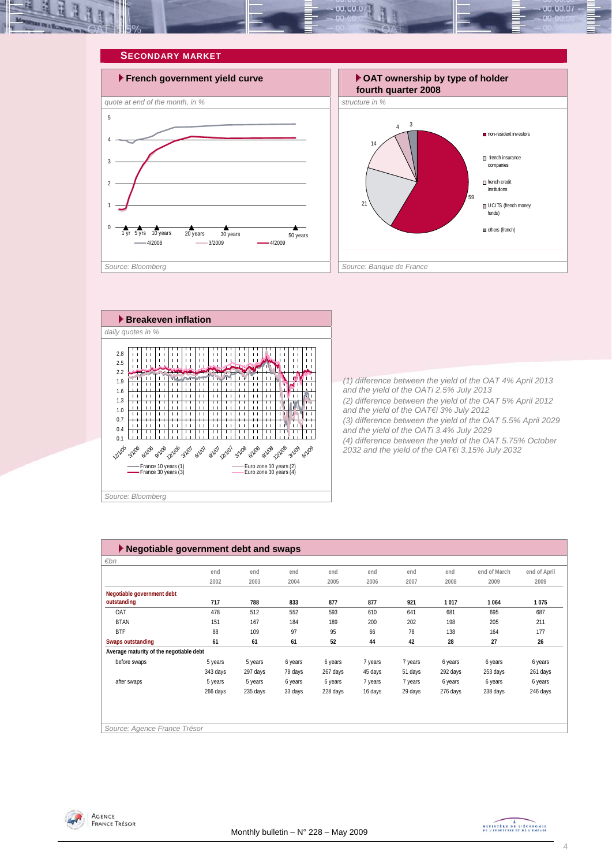

#### **SECONDARY MARKET**







*(1) difference between the yield of the OAT 4% April 2013 and the yield of the OATi 2.5% July 2013 (2) difference between the yield of the OAT 5% April 2012 and the yield of the OAT€i 3% July 2012 (3) difference between the yield of the OAT 5.5% April 2029 and the yield of the OATi 3.4% July 2029 (4) difference between the yield of the OAT 5.75% October 2032 and the yield of the OAT€i 3.15% July 2032* 

| $\blacktriangleright$ Negotiable government debt and swaps |          |          |         |          |         |         |          |              |              |
|------------------------------------------------------------|----------|----------|---------|----------|---------|---------|----------|--------------|--------------|
| $\varepsilon$ bn                                           |          |          |         |          |         |         |          |              |              |
|                                                            | end      | end      | end     | end      | end     | end     | end      | end of March | end of April |
|                                                            | 2002     | 2003     | 2004    | 2005     | 2006    | 2007    | 2008     | 2009         | 2009         |
| Negotiable government debt                                 |          |          |         |          |         |         |          |              |              |
| outstanding                                                | 717      | 788      | 833     | 877      | 877     | 921     | 1017     | 1 0 6 4      | 1075         |
| OAT                                                        | 478      | 512      | 552     | 593      | 610     | 641     | 681      | 695          | 687          |
| <b>BTAN</b>                                                | 151      | 167      | 184     | 189      | 200     | 202     | 198      | 205          | 211          |
| <b>BTF</b>                                                 | 88       | 109      | 97      | 95       | 66      | 78      | 138      | 164          | 177          |
| Swaps outstanding                                          | 61       | 61       | 61      | 52       | 44      | 42      | 28       | 27           | 26           |
| Average maturity of the negotiable debt                    |          |          |         |          |         |         |          |              |              |
| before swaps                                               | 5 years  | 5 years  | 6 years | 6 years  | 7 years | 7 years | 6 years  | 6 years      | 6 years      |
|                                                            | 343 days | 297 days | 79 days | 267 days | 45 days | 51 days | 292 days | 253 days     | 261 days     |
| after swaps                                                | 5 years  | 5 years  | 6 years | 6 years  | 7 years | 7 years | 6 years  | 6 years      | 6 years      |
|                                                            | 266 days | 235 days | 33 days | 228 days | 16 days | 29 days | 276 days | 238 days     | 246 days     |
|                                                            |          |          |         |          |         |         |          |              |              |
|                                                            |          |          |         |          |         |         |          |              |              |
|                                                            |          |          |         |          |         |         |          |              |              |
| Source: Agence France Trésor                               |          |          |         |          |         |         |          |              |              |



MINISTRE DE L'ÉCONOMIE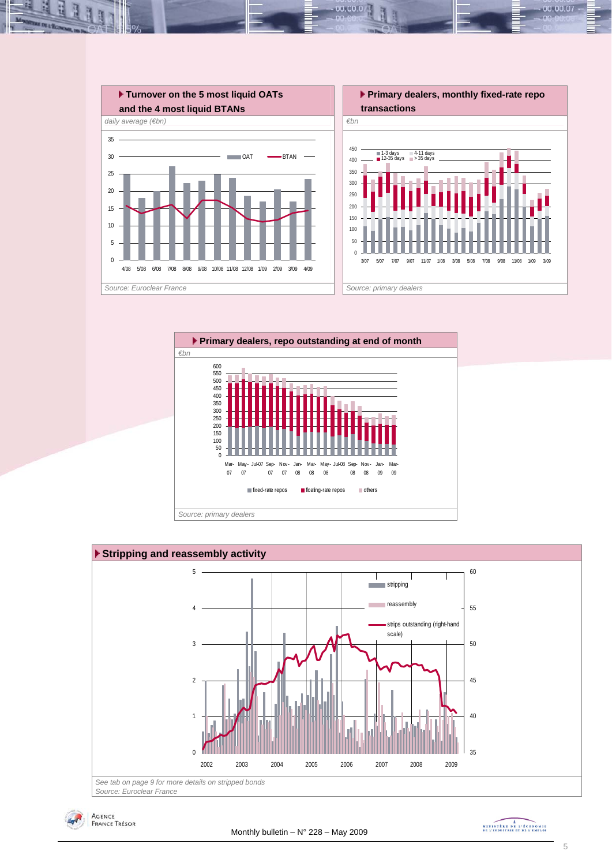

 $00.00.0$ 







MINISTRE DE L'ÉCONOMIE

00.00.07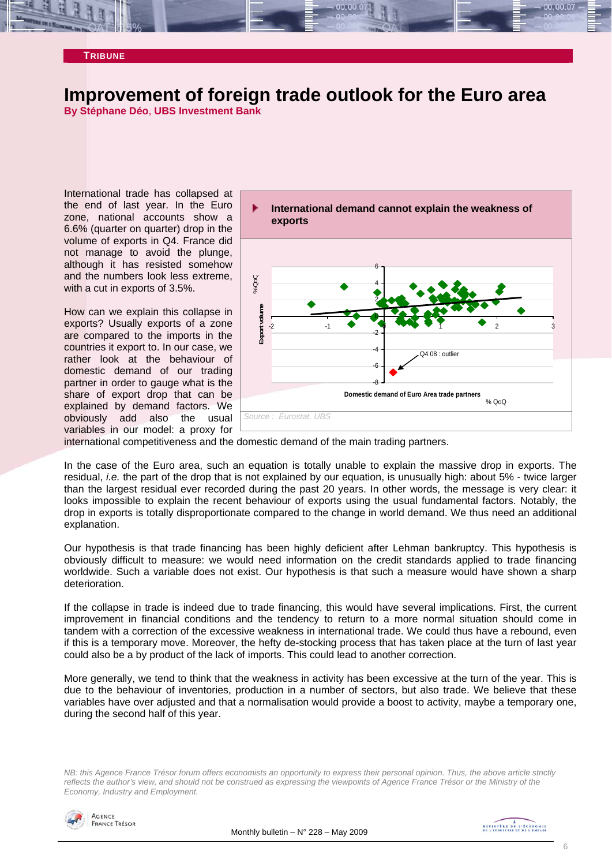### **TRIBUNE**

## **Improvement of foreign trade outlook for the Euro area**

**By Stéphane Déo**, **UBS Investment Bank** 

International trade has collapsed at the end of last year. In the Euro zone, national accounts show a 6.6% (quarter on quarter) drop in the volume of exports in Q4. France did not manage to avoid the plunge, although it has resisted somehow and the numbers look less extreme, with a cut in exports of 3.5%.

How can we explain this collapse in exports? Usually exports of a zone are compared to the imports in the countries it export to. In our case, we rather look at the behaviour of domestic demand of our trading partner in order to gauge what is the share of export drop that can be explained by demand factors. We obviously add also the usual variables in our model: a proxy for



international competitiveness and the domestic demand of the main trading partners.

In the case of the Euro area, such an equation is totally unable to explain the massive drop in exports. The residual, *i.e.* the part of the drop that is not explained by our equation, is unusually high: about 5% - twice larger than the largest residual ever recorded during the past 20 years. In other words, the message is very clear: it looks impossible to explain the recent behaviour of exports using the usual fundamental factors. Notably, the drop in exports is totally disproportionate compared to the change in world demand. We thus need an additional explanation.

Our hypothesis is that trade financing has been highly deficient after Lehman bankruptcy. This hypothesis is obviously difficult to measure: we would need information on the credit standards applied to trade financing worldwide. Such a variable does not exist. Our hypothesis is that such a measure would have shown a sharp deterioration.

If the collapse in trade is indeed due to trade financing, this would have several implications. First, the current improvement in financial conditions and the tendency to return to a more normal situation should come in tandem with a correction of the excessive weakness in international trade. We could thus have a rebound, even if this is a temporary move. Moreover, the hefty de-stocking process that has taken place at the turn of last year could also be a by product of the lack of imports. This could lead to another correction.

More generally, we tend to think that the weakness in activity has been excessive at the turn of the year. This is due to the behaviour of inventories, production in a number of sectors, but also trade. We believe that these variables have over adjusted and that a normalisation would provide a boost to activity, maybe a temporary one, during the second half of this year.

*NB: this Agence France Trésor forum offers economists an opportunity to express their personal opinion. Thus, the above article strictly reflects the author's view, and should not be construed as expressing the viewpoints of Agence France Trésor or the Ministry of the Economy, Industry and Employment.* 

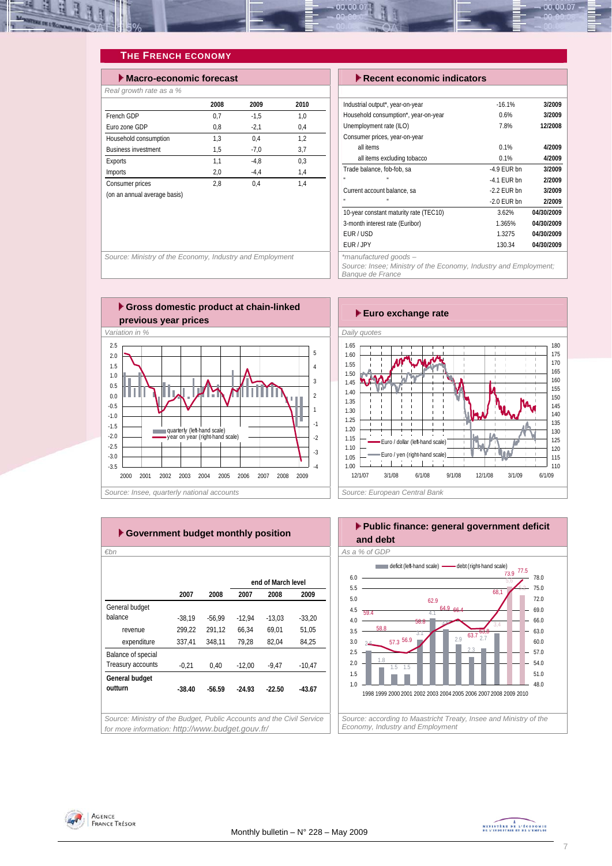

## **THE FRENCH ECONOMY**

| $\blacktriangleright$ Macro-economic forecast |      |        |      |  |  |  |  |
|-----------------------------------------------|------|--------|------|--|--|--|--|
| Real growth rate as a %                       |      |        |      |  |  |  |  |
|                                               | 2008 | 2009   | 2010 |  |  |  |  |
| French GDP                                    | 0,7  | $-1.5$ | 1,0  |  |  |  |  |
| Furo zone GDP                                 | 0,8  | $-2,1$ | 0,4  |  |  |  |  |
| Household consumption                         | 1.3  | 0.4    | 1.2  |  |  |  |  |
| <b>Business investment</b>                    | 1.5  | $-7.0$ | 3.7  |  |  |  |  |
| Exports                                       | 1,1  | $-4.8$ | 0.3  |  |  |  |  |
| Imports                                       | 2,0  | $-4.4$ | 1,4  |  |  |  |  |
| Consumer prices                               | 2.8  | 0.4    | 1,4  |  |  |  |  |
| (on an annual average basis)                  |      |        |      |  |  |  |  |

#### **Execent economic indicators**

| Industrial output*, year-on-year       | $-16.1%$      | 3/2009     |
|----------------------------------------|---------------|------------|
| Household consumption*, year-on-year   | 0.6%          | 3/2009     |
| Unemployment rate (ILO)                | 7.8%          | 12/2008    |
| Consumer prices, year-on-year          |               |            |
| all items                              | 0.1%          | 4/2009     |
| all items excluding tobacco            | 0.1%          | 4/2009     |
| Trade balance, fob-fob, sa             | $-4.9$ FUR bn | 3/2009     |
| п                                      | $-4.1$ FUR bn | 2/2009     |
| Current account balance, sa            | $-2.2$ FUR bn | 3/2009     |
| п                                      | $-2.0$ FUR bn | 2/2009     |
| 10-year constant maturity rate (TEC10) | 3.62%         | 04/30/2009 |
| 3-month interest rate (Euribor)        | 1.365%        | 04/30/2009 |
| FUR / USD                              | 1.3275        | 04/30/2009 |
| FUR / JPY                              | 130.34        | 04/30/2009 |
| $*$ manufactural manufa                |               |            |

*Source: Insee; Ministry of the Economy, Industry and Employment; Banque de France* 

*Source: Ministry of the Economy, Industry and Employment* 





| €bn                |          |          |          |                    |          |
|--------------------|----------|----------|----------|--------------------|----------|
|                    |          |          |          | end of March level |          |
|                    | 2007     | 2008     | 2007     | 2008               | 2009     |
| General budget     |          |          |          |                    |          |
| balance            | $-38.19$ | $-56.99$ | $-12,94$ | $-13,03$           | $-33,20$ |
| revenue            | 299,22   | 291,12   | 66,34    | 69,01              | 51,05    |
| expenditure        | 337,41   | 348,11   | 79.28    | 82,04              | 84,25    |
| Balance of special |          |          |          |                    |          |
| Treasury accounts  | $-0,21$  | 0,40     | $-12,00$ | -9,47              | $-10,47$ |
| General budget     |          |          |          |                    |          |
| outturn            | $-38.40$ | $-56.59$ | $-24.93$ | $-22.50$           | $-43.67$ |
|                    |          |          |          |                    |          |



AGENCE **FRANCE TRÉSOR**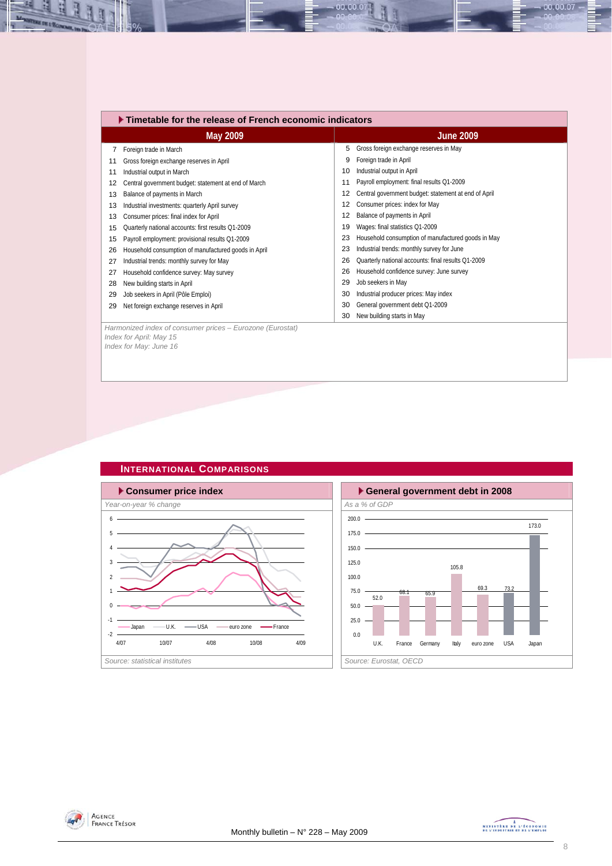|    | $\blacktriangleright$ Timetable for the release of French economic indicators |    |                                                      |  |  |  |  |
|----|-------------------------------------------------------------------------------|----|------------------------------------------------------|--|--|--|--|
|    | May 2009                                                                      |    | <b>June 2009</b>                                     |  |  |  |  |
|    | Foreign trade in March                                                        | 5  | Gross foreign exchange reserves in May               |  |  |  |  |
| 11 | Gross foreign exchange reserves in April                                      | 9  | Foreign trade in April                               |  |  |  |  |
| 11 | Industrial output in March                                                    | 10 | Industrial output in April                           |  |  |  |  |
| 12 | Central government budget: statement at end of March                          | 11 | Payroll employment: final results Q1-2009            |  |  |  |  |
| 13 | Balance of payments in March                                                  | 12 | Central government budget: statement at end of April |  |  |  |  |
| 13 | Industrial investments: quarterly April survey                                | 12 | Consumer prices: index for May                       |  |  |  |  |
| 13 | Consumer prices: final index for April                                        | 12 | Balance of payments in April                         |  |  |  |  |
| 15 | Quarterly national accounts: first results Q1-2009                            | 19 | Wages: final statistics Q1-2009                      |  |  |  |  |
| 15 | Payroll employment: provisional results Q1-2009                               | 23 | Household consumption of manufactured goods in May   |  |  |  |  |
| 26 | Household consumption of manufactured goods in April                          | 23 | Industrial trends: monthly survey for June           |  |  |  |  |
| 27 | Industrial trends: monthly survey for May                                     | 26 | Quarterly national accounts: final results Q1-2009   |  |  |  |  |
| 27 | Household confidence survey: May survey                                       | 26 | Household confidence survey: June survey             |  |  |  |  |
| 28 | New building starts in April                                                  | 29 | Job seekers in May                                   |  |  |  |  |
| 29 | Job seekers in April (Pôle Emploi)                                            | 30 | Industrial producer prices: May index                |  |  |  |  |
| 29 | Net foreign exchange reserves in April                                        | 30 | General government debt Q1-2009                      |  |  |  |  |
|    |                                                                               | 30 | New building starts in May                           |  |  |  |  |
|    | Harmonized index of consumer prices - Eurozone (Eurostat)                     |    |                                                      |  |  |  |  |

00.00.07

*Index for April: May 15 Index for May: June 16* 

즤 ų

Ŀ,







 $-00.00.07 -$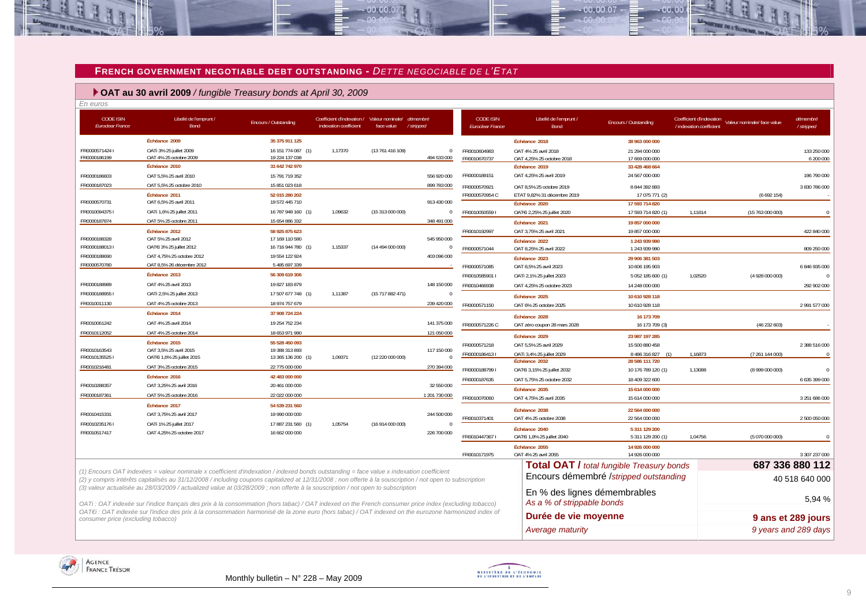#### **FRENCH GOVERNMENT NEGOTIABLE DEBT OUTSTANDING -** *DETTE NEGOCIABLE DE L'ETAT*

 $.00,00,01$ 

#### **OAT au 30 avril 2009** */ fungible Treasury bonds at April 30, 2009*

*En euros* CODE ISIN*Euroclear France* Libellé de l'emprunt / Bond Encours / Outstanding Coefficient d'indexation / indexation coefficient Valeur nominale/ face value *démembré / stripped* **Échéance 2009 35 375 911 125**FR0000571424 I OATi 3% 25 juillet 2009 16 151 774 087 (1) 1,17370 (13 761 416 109) 0 OAT 4% 25 octobre 2009 **Échéance 2010 31 642 742 970**FR0000186603 **OAT 5.5% 25 avril 2010** 15 791 719 352 **15 791 719 352** 556 920 000 FR0000187023 0AT 5.5% 25 octobre 2010 15 851 023 618 899 703 000 15 851 023 618 **Échéance 2011 52 015 280 202**19 572 445 710 FR0000570731 OAT 6.5% 25 avril 2011 2012 19 572 445 710 2012 19 572 445 710 FR0010094375 I OATi 1,6% 25 juillet 2011 16 787 948 160 (1) 1,09632 (15 313 000 000) 0 FR0000187874 OAT 5% 25 octobre 2011 15 654 886 332 15 654 886 332 348 491 000 **Échéance 2012 58 925 875 623**FR0000188328 0AT 5% 25 avril 2012 17 169 110 580 545 950 000 545 950 000 FR0000188013 I OAT€i 3% 25 juillet 2012 16 716 944 780 (1) 1,15337 (14 494 000 000) 0 FR0000188690 OAT 4,75% 25 octobre 2012 19 554 122 924 403 096 000 FR0000570780 OAT 8,5% 26 décembre 2012 5 485 697 339 - **Échéance 2013 56 309 619 306** FR0000188989 OAT 4% 25 avril 2013 19 827 183 879 148 150 000FR0000188955 I OATi 2,5% 25 juillet 2013 17 507 677 748 (1) 1,11387 (15 717 882 471) 0 FR0010011130 **OAT 4% 25 octobre 2013** 18 974 757 679 239 420 000 **Échéance 2014 37 908 724 224**FR0010061242 **OAT 4% 25 avril 2014** 19 254 752 234 141 375 000 FR0010112052 **OAT 4% 25 octobre 2014** 18 653 971 990 121 050 000 **Échéance 2015 55 528 450 093**FR0010163543 OAT 3,5% 25 avril 2015 19 388 313 893 117 150 000 FR0010135525 I OAT€i 1,6% 25 juillet 2015 13 365 136 200 (1) 1,09371 (12 220 000 000) 0 FR0010216481 **OAT 3% 25 octobre 2015** 22 775 000 000 270 394 000 **Échéance 2016 42 483 000 000** FR0010288357 OAT 3,25% 25 avril 2016 20 461 000 000 32 550 000 FR0000187361 OAT 5% 25 octobre 2016 22 022 000 000 1 201 730 0001 201 730 000 **Échéance 2017 54 539 231 560**FR0010415331 OAT 3,75% 25 avril 2017 19 990 000 000 244 500 000 FR0010235176 I OATi 1% 25 juillet 2017 17 887 231 560 (1) 1,05754 (16 914 000 000) 0 FR0010517417 OAT 4,25% 25 octobre 2017 16 662 000 000 226 700 000 CODE ISIN*Euroclear France* Libellé de l'emprunt / Bond Encours / Outstanding Coefficient d'indexation / indexation coefficient Valeur nominale/ face value *démembré / stripped* **Échéance 2018 38 963 000 000**FR0010604983 OAT 4% 25 avril 2018 21 294 000 000 133 250 000 $6,200,000$ FR0010670737 OAT 4,25% 25 octobre 2018 17 669 000 000 **Échéance 2019 33 428 468 664** FR0000189151 OAT 4,25% 25 avril 2019 24 567 000 000 24 567 000 000 25 24 567 000 196 790 000 FR0000570921 OAT 8,5% 25 octobre 2019 8 844 392 893 3 830 786 000 FR0000570954 C ETAT 9,82% 31 décembre 2019 17 075 771 (2) (6 692 154) **Échéance 2020 17 593 714 820**FR0010050559 I OAT€i 2,25% 25 juillet 2020 17 593 714 820 (1) 1,11614 (15 763 000 000) 0 **Échéance 2021 19 857 000 000**FR0010192997 OAT 3,75% 25 avril 2021 19 857 000 000 422 840 000 **Échéance 2022 1 243 939 990**FR0000571044 OAT 8,25% 25 avril 2022 1 243 939 990 809 250 000 **Échéance 2023 29 906 381 503**FR0000571085 OAT 8,5% 25 avril 2023 10 606 195 903 6 846 935 000 FR0010585901 I OATi 2,1% 25 juillet 2023 5 052 185 600 (1) 1,02520 (4 928 000 000) 0 FR0010466938 OAT 4,25% 25 octobre 2023 14 248 000 000 292 902 000 **Échéance 2025 10 610 928 118**FR0000571150 OAT 6% 25 octobre 2025 2025 10 610 928 118 2 991 577 000 **Échéance 2028 16 173 709**16 173 709 FR0000571226 C OAT zéro coupon 28 mars 2028 16 173 709 (3) (3) (46 232 603) **Échéance 2029 23 987 197 285** FR0000571218 OAT 5,5% 25 avril 2029 15 500 880 458 2 388 516 000 FR0000186413 I OATi 3,4% 25 juillet 2029 8 486 316 827 (1) 1,16873 (7 261 144 000) 0 **Échéance 2032 28 586 111 720** FR0000188799 I OAT€i 3,15% 25 juillet 2032 10 176 789 120 (1) 1,13088 (8 999 000 000) 0 FR0000187635 OAT 5,75% 25 octobre 2032 18 409 322 600 6 635 399 000 **Échéance 2035 15 614 000 000**FR0010070060 OAT 4,75% 25 avril 2035 3 251 686 000 15 614 000 000 3 251 686 000 3 251 686 000 3 251 686 000 3 251 686 000 3 251 686 000 3 251 686 000 3 251 686 000 3 251 686 000 3 251 686 000 3 251 687 600 3 251 687 600 3 **Échéance 2038 22 564 000 000**FR0010371401 OAT 4% 25 octobre 2038 22 564 000 000 2 500 050 0002 500 050 000 **Échéance 2040 5 311 129 200**FR0010447367 I OAT€i 1,8% 25 juillet 2040 5 311 129 200 (1) 1,04756 (5 070 000 000) 0  $Échéance 2055$ 14 926 000 000 FR0010171975 OAT 4% 25 avril 2055 2000 000 14 926 000 000 300 300 300 300 3 307 237 000 3 307 237 000 3 307 237 000 **Total OAT /** *total fungible Treasury bonds* **687 336 880 112**  Encours démembré /*stripped outstanding*<br>40 518 640 000 En % des lignes démembrables *As a % of strippable bonds* 5,94 % **Durée de vie moyenne 1988 1988 9 ans et 289 jours** *(1) Encours OAT indexées = valeur nominale x coefficient d'indexation / indexed bonds outstanding = face value x indexation coefficient (2) y compris intérêts capitalisés au 31/12/2008 / including coupons capitalized at 12/31/2008 ; non offerte à la souscription / not open to subscription (3) valeur actualisée au 28/03/2009 / actualized value at 03/28/2009 ; non offerte à la souscription / not open to subscription OATi : OAT indexée sur l'indice français des prix à la consommation (hors tabac) / OAT indexed on the French consumer price index (excluding tobacco) OAT€i : OAT indexée sur l'indice des prix à la consommation harmonisé de la zone euro (hors tabac) / OAT indexed on the eurozone harmonized index of consumer price (excluding tobacco)* 





*Average maturity 9 years and 289 days* 

 $00007$ 

 $00.00$